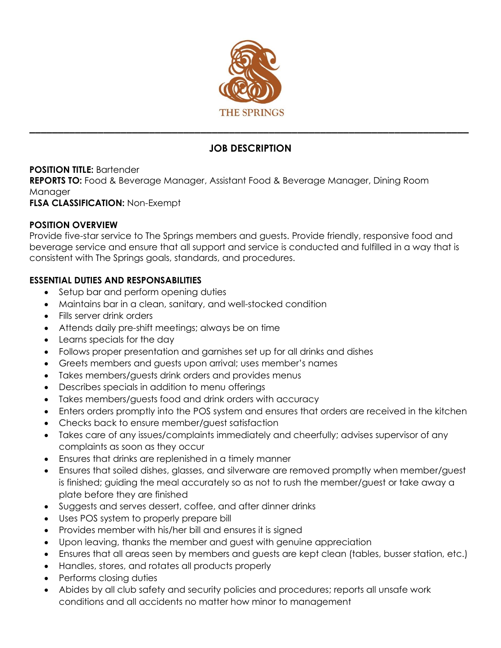

# **JOB DESCRIPTION**

### **POSITION TITLE:** Bartender

**REPORTS TO:** Food & Beverage Manager, Assistant Food & Beverage Manager, Dining Room Manager

**FLSA CLASSIFICATION:** Non-Exempt

# **POSITION OVERVIEW**

Provide five-star service to The Springs members and guests. Provide friendly, responsive food and beverage service and ensure that all support and service is conducted and fulfilled in a way that is consistent with The Springs goals, standards, and procedures.

# **ESSENTIAL DUTIES AND RESPONSABILITIES**

- Setup bar and perform opening duties
- Maintains bar in a clean, sanitary, and well-stocked condition
- Fills server drink orders
- Attends daily pre-shift meetings; always be on time
- Learns specials for the day
- Follows proper presentation and garnishes set up for all drinks and dishes
- Greets members and guests upon arrival; uses member's names
- Takes members/guests drink orders and provides menus
- Describes specials in addition to menu offerings
- Takes members/guests food and drink orders with accuracy
- Enters orders promptly into the POS system and ensures that orders are received in the kitchen
- Checks back to ensure member/guest satisfaction
- Takes care of any issues/complaints immediately and cheerfully; advises supervisor of any complaints as soon as they occur
- Ensures that drinks are replenished in a timely manner
- Ensures that soiled dishes, glasses, and silverware are removed promptly when member/guest is finished; guiding the meal accurately so as not to rush the member/guest or take away a plate before they are finished
- Suggests and serves dessert, coffee, and after dinner drinks
- Uses POS system to properly prepare bill
- Provides member with his/her bill and ensures it is signed
- Upon leaving, thanks the member and guest with genuine appreciation
- Ensures that all areas seen by members and guests are kept clean (tables, busser station, etc.)
- Handles, stores, and rotates all products properly
- Performs closing duties
- Abides by all club safety and security policies and procedures; reports all unsafe work conditions and all accidents no matter how minor to management